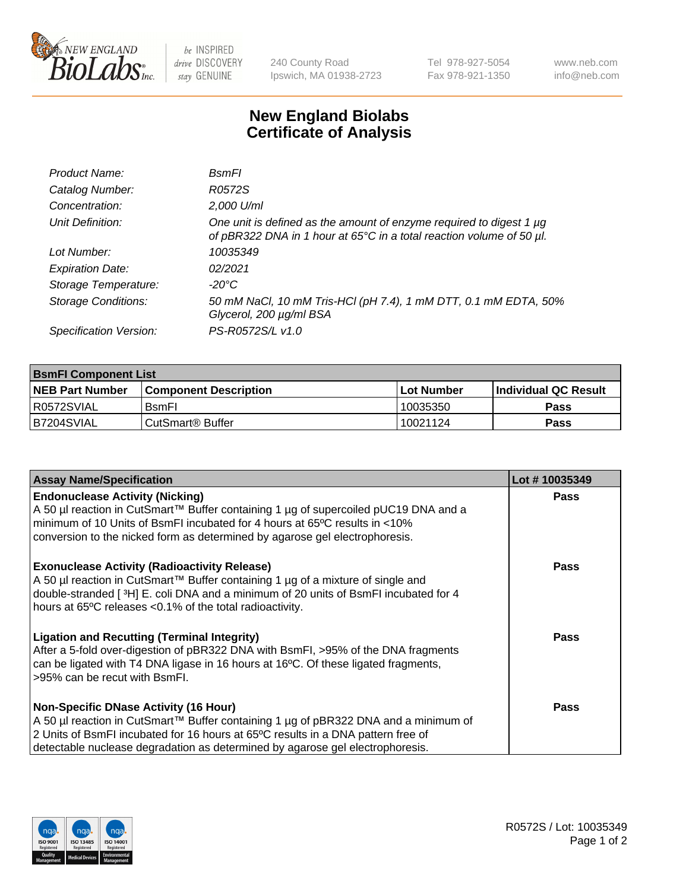

be INSPIRED drive DISCOVERY stay GENUINE

240 County Road Ipswich, MA 01938-2723 Tel 978-927-5054 Fax 978-921-1350 www.neb.com info@neb.com

## **New England Biolabs Certificate of Analysis**

| Product Name:              | <b>B</b> smFl                                                                                                                               |
|----------------------------|---------------------------------------------------------------------------------------------------------------------------------------------|
| Catalog Number:            | R0572S                                                                                                                                      |
| Concentration:             | 2,000 U/ml                                                                                                                                  |
| Unit Definition:           | One unit is defined as the amount of enzyme required to digest 1 µg<br>of pBR322 DNA in 1 hour at 65°C in a total reaction volume of 50 µl. |
| Lot Number:                | 10035349                                                                                                                                    |
| <b>Expiration Date:</b>    | 02/2021                                                                                                                                     |
| Storage Temperature:       | -20°C                                                                                                                                       |
| <b>Storage Conditions:</b> | 50 mM NaCl, 10 mM Tris-HCl (pH 7.4), 1 mM DTT, 0.1 mM EDTA, 50%<br>Glycerol, 200 µg/ml BSA                                                  |
| Specification Version:     | PS-R0572S/L v1.0                                                                                                                            |

| <b>BsmFI Component List</b> |                         |              |                             |  |
|-----------------------------|-------------------------|--------------|-----------------------------|--|
| <b>NEB Part Number</b>      | l Component Description | l Lot Number | <b>Individual QC Result</b> |  |
| I R0572SVIAL                | <b>B</b> smFI           | 10035350     | Pass                        |  |
| B7204SVIAL                  | l CutSmart® Buffer      | 10021124     | Pass                        |  |

| <b>Assay Name/Specification</b>                                                                                                                                                                                                                                                                          | Lot #10035349 |
|----------------------------------------------------------------------------------------------------------------------------------------------------------------------------------------------------------------------------------------------------------------------------------------------------------|---------------|
| <b>Endonuclease Activity (Nicking)</b><br>A 50 µl reaction in CutSmart™ Buffer containing 1 µg of supercoiled pUC19 DNA and a<br>minimum of 10 Units of BsmFI incubated for 4 hours at 65°C results in <10%<br>conversion to the nicked form as determined by agarose gel electrophoresis.               | <b>Pass</b>   |
| <b>Exonuclease Activity (Radioactivity Release)</b><br>A 50 µl reaction in CutSmart™ Buffer containing 1 µg of a mixture of single and<br>double-stranded [3H] E. coli DNA and a minimum of 20 units of BsmFI incubated for 4<br>hours at 65°C releases <0.1% of the total radioactivity.                | <b>Pass</b>   |
| <b>Ligation and Recutting (Terminal Integrity)</b><br>After a 5-fold over-digestion of pBR322 DNA with BsmFI, >95% of the DNA fragments<br>can be ligated with T4 DNA ligase in 16 hours at 16°C. Of these ligated fragments,<br>>95% can be recut with BsmFI.                                           | <b>Pass</b>   |
| <b>Non-Specific DNase Activity (16 Hour)</b><br>A 50 µl reaction in CutSmart™ Buffer containing 1 µg of pBR322 DNA and a minimum of<br>2 Units of BsmFI incubated for 16 hours at 65°C results in a DNA pattern free of<br>detectable nuclease degradation as determined by agarose gel electrophoresis. | Pass          |